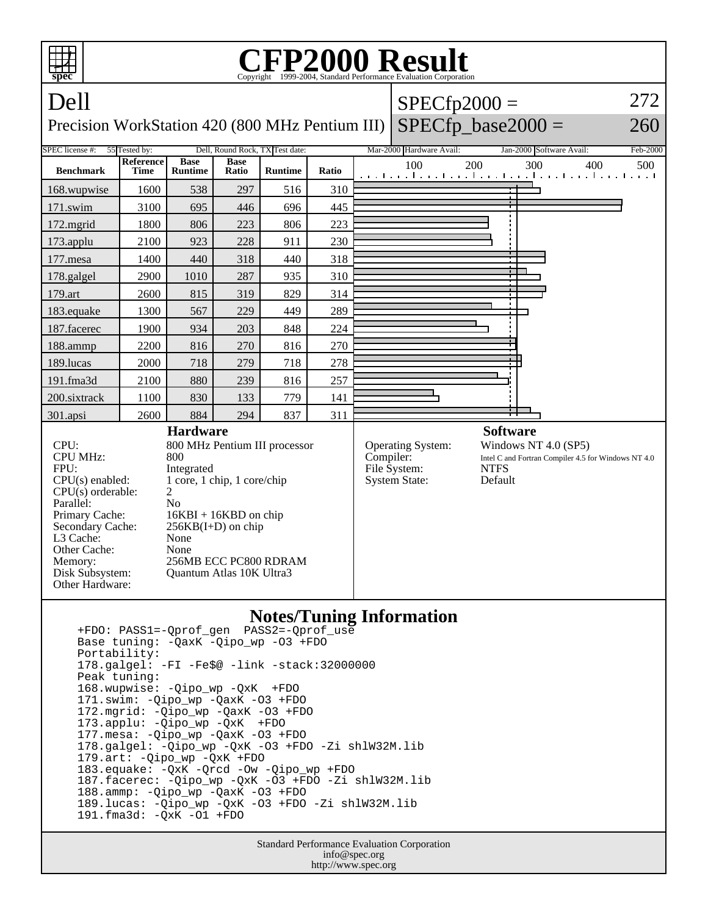

Standard Performance Evaluation Corporation info@spec.org http://www.spec.org